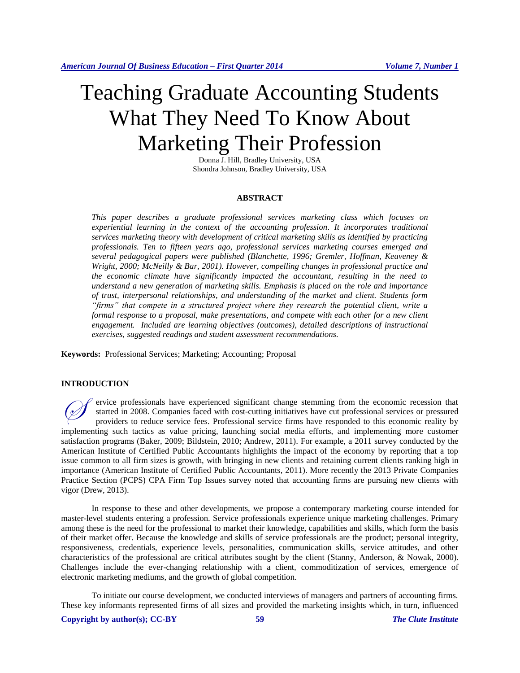# Teaching Graduate Accounting Students What They Need To Know About Marketing Their Profession

Donna J. Hill, Bradley University, USA Shondra Johnson, Bradley University, USA

#### **ABSTRACT**

*This paper describes a graduate professional services marketing class which focuses on experiential learning in the context of the accounting profession. It incorporates traditional services marketing theory with development of critical marketing skills as identified by practicing professionals. Ten to fifteen years ago, professional services marketing courses emerged and several pedagogical papers were published (Blanchette, 1996; Gremler, Hoffman, Keaveney & Wright, 2000; McNeilly & Bar, 2001). However, compelling changes in professional practice and the economic climate have significantly impacted the accountant, resulting in the need to understand a new generation of marketing skills. Emphasis is placed on the role and importance of trust, interpersonal relationships, and understanding of the market and client. Students form "firms" that compete in a structured project where they research the potential client, write a formal response to a proposal, make presentations, and compete with each other for a new client engagement. Included are learning objectives (outcomes), detailed descriptions of instructional exercises, suggested readings and student assessment recommendations.*

**Keywords:** Professional Services; Marketing; Accounting; Proposal

#### **INTRODUCTION**

ervice professionals have experienced significant change stemming from the economic recession that started in 2008. Companies faced with cost-cutting initiatives have cut professional services or pressured providers to reduce service fees. Professional service firms have responded to this economic reality by implementing such tactics as value pricing, launching social media efforts, and implementing more customer satisfaction programs (Baker, 2009; Bildstein, 2010; Andrew, 2011). For example, a 2011 survey conducted by the American Institute of Certified Public Accountants highlights the impact of the economy by reporting that a top issue common to all firm sizes is growth, with bringing in new clients and retaining current clients ranking high in importance (American Institute of Certified Public Accountants, 2011). More recently the 2013 Private Companies Practice Section (PCPS) CPA Firm Top Issues survey noted that accounting firms are pursuing new clients with vigor (Drew, 2013).  $\oslash$ 

In response to these and other developments, we propose a contemporary marketing course intended for master-level students entering a profession. Service professionals experience unique marketing challenges. Primary among these is the need for the professional to market their knowledge, capabilities and skills, which form the basis of their market offer. Because the knowledge and skills of service professionals are the product; personal integrity, responsiveness, credentials, experience levels, personalities, communication skills, service attitudes, and other characteristics of the professional are critical attributes sought by the client (Stanny, Anderson, & Nowak, 2000). Challenges include the ever-changing relationship with a client, commoditization of services, emergence of electronic marketing mediums, and the growth of global competition.

To initiate our course development, we conducted interviews of managers and partners of accounting firms. These key informants represented firms of all sizes and provided the marketing insights which, in turn, influenced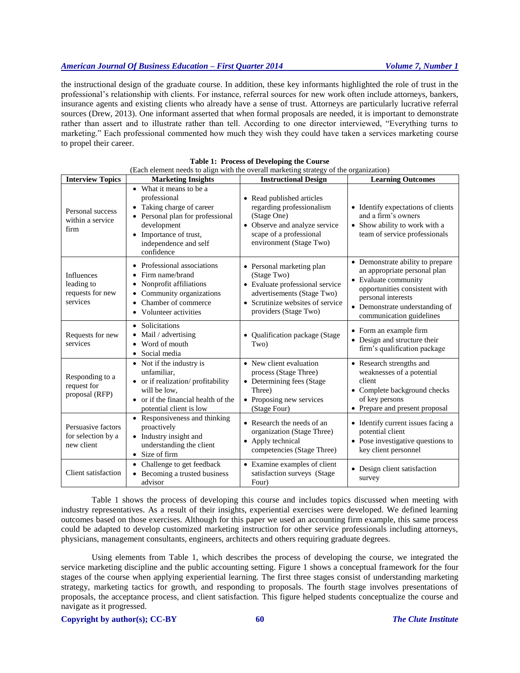the instructional design of the graduate course. In addition, these key informants highlighted the role of trust in the professional's relationship with clients. For instance, referral sources for new work often include attorneys, bankers, insurance agents and existing clients who already have a sense of trust. Attorneys are particularly lucrative referral sources (Drew, 2013). One informant asserted that when formal proposals are needed, it is important to demonstrate rather than assert and to illustrate rather than tell. According to one director interviewed, "Everything turns to marketing." Each professional commented how much they wish they could have taken a services marketing course to propel their career.

| <b>Interview Topics</b>                                  | (Bach crement necas to angli with the overall marketing strategy of the organization)<br><b>Marketing Insights</b>                                                                              | <b>Instructional Design</b>                                                                                                                                                       | <b>Learning Outcomes</b>                                                                                                                                                                                      |
|----------------------------------------------------------|-------------------------------------------------------------------------------------------------------------------------------------------------------------------------------------------------|-----------------------------------------------------------------------------------------------------------------------------------------------------------------------------------|---------------------------------------------------------------------------------------------------------------------------------------------------------------------------------------------------------------|
| Personal success<br>within a service<br>firm             | • What it means to be a<br>professional<br>Taking charge of career<br>$\bullet$<br>Personal plan for professional<br>development<br>Importance of trust,<br>independence and self<br>confidence | • Read published articles<br>regarding professionalism<br>(Stage One)<br>• Observe and analyze service<br>scape of a professional<br>environment (Stage Two)                      | • Identify expectations of clients<br>and a firm's owners<br>• Show ability to work with a<br>team of service professionals                                                                                   |
| Influences<br>leading to<br>requests for new<br>services | Professional associations<br>Firm name/brand<br>Nonprofit affiliations<br>Community organizations<br>Chamber of commerce<br>Volunteer activities                                                | • Personal marketing plan<br>(Stage Two)<br>• Evaluate professional service<br>advertisements (Stage Two)<br>Scrutinize websites of service<br>$\bullet$<br>providers (Stage Two) | • Demonstrate ability to prepare<br>an appropriate personal plan<br>• Evaluate community<br>opportunities consistent with<br>personal interests<br>• Demonstrate understanding of<br>communication guidelines |
| Requests for new<br>services                             | • Solicitations<br>Mail / advertising<br>Word of mouth<br>Social media                                                                                                                          | • Qualification package (Stage<br>Two)                                                                                                                                            | • Form an example firm<br>• Design and structure their<br>firm's qualification package                                                                                                                        |
| Responding to a<br>request for<br>proposal (RFP)         | • Not if the industry is<br>unfamiliar,<br>• or if realization/profitability<br>will be low,<br>or if the financial health of the<br>potential client is low                                    | • New client evaluation<br>process (Stage Three)<br>• Determining fees (Stage<br>Three)<br>• Proposing new services<br>(Stage Four)                                               | • Research strengths and<br>weaknesses of a potential<br>client<br>• Complete background checks<br>of key persons<br>• Prepare and present proposal                                                           |
| Persuasive factors<br>for selection by a<br>new client   | • Responsiveness and thinking<br>proactively<br>• Industry insight and<br>understanding the client<br>Size of firm                                                                              | • Research the needs of an<br>organization (Stage Three)<br>• Apply technical<br>competencies (Stage Three)                                                                       | • Identify current issues facing a<br>potential client<br>• Pose investigative questions to<br>key client personnel                                                                                           |
| Client satisfaction                                      | • Challenge to get feedback<br>• Becoming a trusted business<br>advisor                                                                                                                         | • Examine examples of client<br>satisfaction surveys (Stage<br>Four)                                                                                                              | • Design client satisfaction<br>survey                                                                                                                                                                        |

| Table 1: Process of Developing the Course                                             |
|---------------------------------------------------------------------------------------|
| (Each element needs to alian with the overall marketing strategy of the organization) |

Table 1 shows the process of developing this course and includes topics discussed when meeting with industry representatives. As a result of their insights, experiential exercises were developed. We defined learning outcomes based on those exercises. Although for this paper we used an accounting firm example, this same process could be adapted to develop customized marketing instruction for other service professionals including attorneys, physicians, management consultants, engineers, architects and others requiring graduate degrees.

Using elements from Table 1, which describes the process of developing the course, we integrated the service marketing discipline and the public accounting setting. Figure 1 shows a conceptual framework for the four stages of the course when applying experiential learning. The first three stages consist of understanding marketing strategy, marketing tactics for growth, and responding to proposals. The fourth stage involves presentations of proposals, the acceptance process, and client satisfaction. This figure helped students conceptualize the course and navigate as it progressed.

#### **Copyright by author(s); CC-BY 60** *The Clute Institute*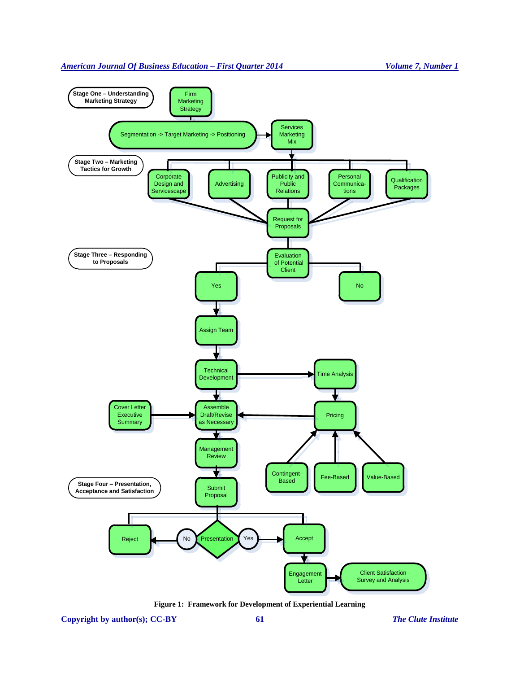

**Figure 1: Framework for Development of Experiential Learning**

**Copyright by author(s); CC-BY 61** *The Clute Institute*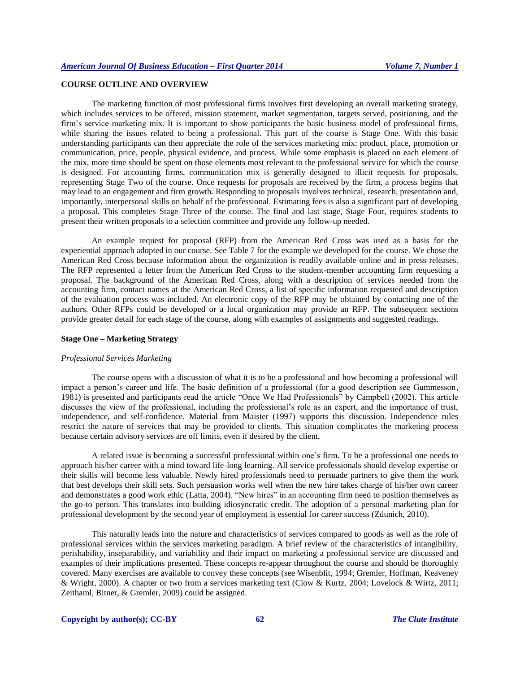#### **COURSE OUTLINE AND OVERVIEW**

The marketing function of most professional firms involves first developing an overall marketing strategy, which includes services to be offered, mission statement, market segmentation, targets served, positioning, and the firm's service marketing mix. It is important to show participants the basic business model of professional firms, while sharing the issues related to being a professional. This part of the course is Stage One. With this basic understanding participants can then appreciate the role of the services marketing mix: product, place, promotion or communication, price, people, physical evidence, and process. While some emphasis is placed on each element of the mix, more time should be spent on those elements most relevant to the professional service for which the course is designed. For accounting firms, communication mix is generally designed to illicit requests for proposals, representing Stage Two of the course. Once requests for proposals are received by the firm, a process begins that may lead to an engagement and firm growth. Responding to proposals involves technical, research, presentation and, importantly, interpersonal skills on behalf of the professional. Estimating fees is also a significant part of developing a proposal. This completes Stage Three of the course. The final and last stage, Stage Four, requires students to present their written proposals to a selection committee and provide any follow-up needed.

An example request for proposal (RFP) from the American Red Cross was used as a basis for the experiential approach adopted in our course. See Table 7 for the example we developed for the course. We chose the American Red Cross because information about the organization is readily available online and in press releases. The RFP represented a letter from the American Red Cross to the student-member accounting firm requesting a proposal. The background of the American Red Cross, along with a description of services needed from the accounting firm, contact names at the American Red Cross, a list of specific information requested and description of the evaluation process was included. An electronic copy of the RFP may be obtained by contacting one of the authors. Other RFPs could be developed or a local organization may provide an RFP. The subsequent sections provide greater detail for each stage of the course, along with examples of assignments and suggested readings.

#### **Stage One – Marketing Strategy**

#### *Professional Services Marketing*

The course opens with a discussion of what it is to be a professional and how becoming a professional will impact a person's career and life. The basic definition of a professional (for a good description see Gummesson, 1981) is presented and participants read the article "Once We Had Professionals" by Campbell (2002). This article discusses the view of the professional, including the professional's role as an expert, and the importance of trust, independence, and self-confidence. Material from Maister (1997) supports this discussion. Independence rules restrict the nature of services that may be provided to clients. This situation complicates the marketing process because certain advisory services are off limits, even if desired by the client.

A related issue is becoming a successful professional within one's firm. To be a professional one needs to approach his/her career with a mind toward life-long learning. All service professionals should develop expertise or their skills will become less valuable. Newly hired professionals need to persuade partners to give them the work that best develops their skill sets. Such persuasion works well when the new hire takes charge of his/her own career and demonstrates a good work ethic (Latta, 2004). "New hires" in an accounting firm need to position themselves as the go-to person. This translates into building idiosyncratic credit. The adoption of a personal marketing plan for professional development by the second year of employment is essential for career success (Zdunich, 2010).

This naturally leads into the nature and characteristics of services compared to goods as well as the role of professional services within the services marketing paradigm. A brief review of the characteristics of intangibility, perishability, inseparability, and variability and their impact on marketing a professional service are discussed and examples of their implications presented. These concepts re-appear throughout the course and should be thoroughly covered. Many exercises are available to convey these concepts (see Wisenblit, 1994; Gremler, Hoffman, Keaveney & Wright, 2000). A chapter or two from a services marketing text (Clow & Kurtz, 2004; Lovelock & Wirtz, 2011; Zeithaml, Bitner, & Gremler, 2009) could be assigned.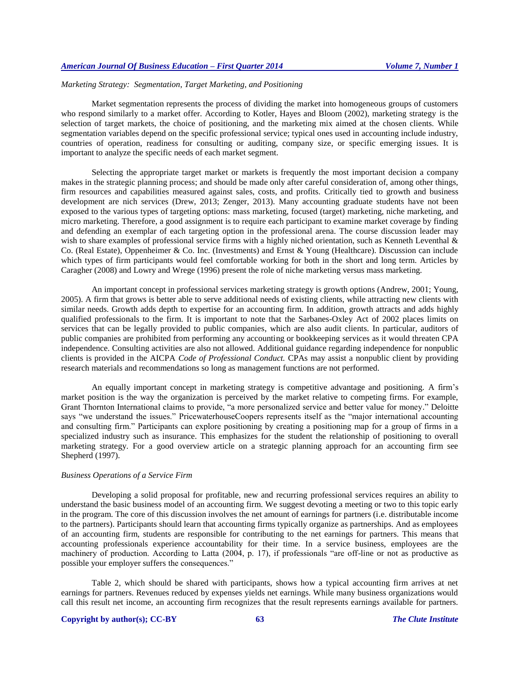#### *Marketing Strategy: Segmentation*, *Target Marketing, and Positioning*

Market segmentation represents the process of dividing the market into homogeneous groups of customers who respond similarly to a market offer. According to Kotler, Hayes and Bloom (2002), marketing strategy is the selection of target markets, the choice of positioning, and the marketing mix aimed at the chosen clients. While segmentation variables depend on the specific professional service; typical ones used in accounting include industry, countries of operation, readiness for consulting or auditing, company size, or specific emerging issues. It is important to analyze the specific needs of each market segment.

Selecting the appropriate target market or markets is frequently the most important decision a company makes in the strategic planning process; and should be made only after careful consideration of, among other things, firm resources and capabilities measured against sales, costs, and profits. Critically tied to growth and business development are nich services (Drew, 2013; Zenger, 2013). Many accounting graduate students have not been exposed to the various types of targeting options: mass marketing, focused (target) marketing, niche marketing, and micro marketing. Therefore, a good assignment is to require each participant to examine market coverage by finding and defending an exemplar of each targeting option in the professional arena. The course discussion leader may wish to share examples of professional service firms with a highly niched orientation, such as Kenneth Leventhal  $\&$ Co. (Real Estate), Oppenheimer & Co. Inc. (Investments) and Ernst & Young (Healthcare). Discussion can include which types of firm participants would feel comfortable working for both in the short and long term. Articles by Caragher (2008) and Lowry and Wrege (1996) present the role of niche marketing versus mass marketing.

An important concept in professional services marketing strategy is growth options (Andrew, 2001; Young, 2005). A firm that grows is better able to serve additional needs of existing clients, while attracting new clients with similar needs. Growth adds depth to expertise for an accounting firm. In addition, growth attracts and adds highly qualified professionals to the firm. It is important to note that the Sarbanes-Oxley Act of 2002 places limits on services that can be legally provided to public companies, which are also audit clients. In particular, auditors of public companies are prohibited from performing any accounting or bookkeeping services as it would threaten CPA independence. Consulting activities are also not allowed. Additional guidance regarding independence for nonpublic clients is provided in the AICPA *Code of Professional Conduct.* CPAs may assist a nonpublic client by providing research materials and recommendations so long as management functions are not performed.

An equally important concept in marketing strategy is competitive advantage and positioning. A firm's market position is the way the organization is perceived by the market relative to competing firms. For example, Grant Thornton International claims to provide, "a more personalized service and better value for money." Deloitte says "we understand the issues." PricewaterhouseCoopers represents itself as the "major international accounting and consulting firm." Participants can explore positioning by creating a positioning map for a group of firms in a specialized industry such as insurance. This emphasizes for the student the relationship of positioning to overall marketing strategy. For a good overview article on a strategic planning approach for an accounting firm see Shepherd (1997).

#### *Business Operations of a Service Firm*

Developing a solid proposal for profitable, new and recurring professional services requires an ability to understand the basic business model of an accounting firm. We suggest devoting a meeting or two to this topic early in the program. The core of this discussion involves the net amount of earnings for partners (i.e. distributable income to the partners). Participants should learn that accounting firms typically organize as partnerships. And as employees of an accounting firm, students are responsible for contributing to the net earnings for partners. This means that accounting professionals experience accountability for their time. In a service business, employees are the machinery of production. According to Latta (2004, p. 17), if professionals "are off-line or not as productive as possible your employer suffers the consequences."

Table 2, which should be shared with participants, shows how a typical accounting firm arrives at net earnings for partners. Revenues reduced by expenses yields net earnings. While many business organizations would call this result net income, an accounting firm recognizes that the result represents earnings available for partners.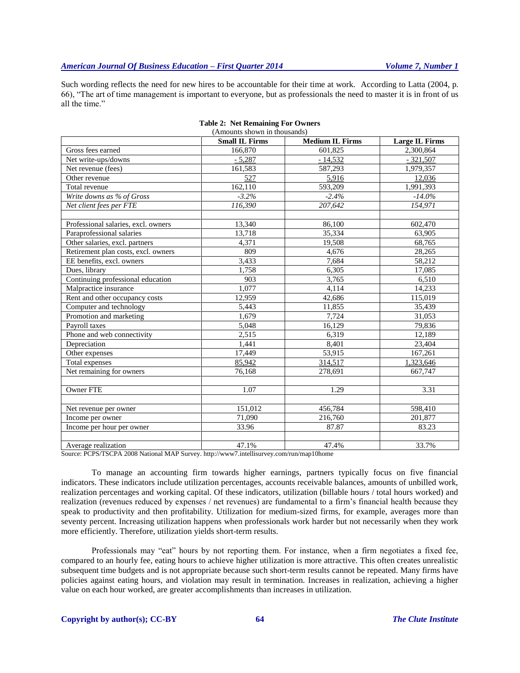Such wording reflects the need for new hires to be accountable for their time at work. According to Latta (2004, p. 66), "The art of time management is important to everyone, but as professionals the need to master it is in front of us all the time."

|                                     | (Amounts shown in thousands) |                        |                       |  |  |  |  |
|-------------------------------------|------------------------------|------------------------|-----------------------|--|--|--|--|
|                                     | <b>Small IL Firms</b>        | <b>Medium IL Firms</b> | <b>Large IL Firms</b> |  |  |  |  |
| Gross fees earned                   | 166,870                      | 601,825                | 2,300,864             |  |  |  |  |
| Net write-ups/downs                 | $-5,287$                     | $-14,532$              | $-321,507$            |  |  |  |  |
| Net revenue (fees)                  | 161,583                      | 587,293                | 1,979,357             |  |  |  |  |
| Other revenue                       | 527                          | 5,916                  | 12,036                |  |  |  |  |
| Total revenue                       | 162,110                      | 593,209                | 1,991,393             |  |  |  |  |
| Write downs as % of Gross           | $-3.2\%$                     | $-2.4%$                | $-14.0\%$             |  |  |  |  |
| Net client fees per FTE             | 116,390                      | 207,642                | 154,971               |  |  |  |  |
|                                     |                              |                        |                       |  |  |  |  |
| Professional salaries, excl. owners | 13,340                       | 86,100                 | 602,470               |  |  |  |  |
| Paraprofessional salaries           | 13,718                       | 35,334                 | 63,905                |  |  |  |  |
| Other salaries, excl. partners      | 4.371                        | 19.508                 | 68,765                |  |  |  |  |
| Retirement plan costs, excl. owners | 809                          | 4,676                  | 28,265                |  |  |  |  |
| EE benefits, excl. owners           | 3,433                        | 7,684                  | 58,212                |  |  |  |  |
| Dues, library                       | 1,758                        | 6,305                  | 17,085                |  |  |  |  |
| Continuing professional education   | 903                          | 3,765                  | 6,510                 |  |  |  |  |
| Malpractice insurance               | 1,077                        | 4,114                  | 14,233                |  |  |  |  |
| Rent and other occupancy costs      | 12,959                       | 42,686                 | 115,019               |  |  |  |  |
| Computer and technology             | 5,443                        | 11,855                 | 35,439                |  |  |  |  |
| Promotion and marketing             | 1,679                        | 7,724                  | 31,053                |  |  |  |  |
| Payroll taxes                       | 5,048                        | 16,129                 | 79,836                |  |  |  |  |
| Phone and web connectivity          | 2,515                        | 6,319                  | 12,189                |  |  |  |  |
| Depreciation                        | 1,441                        | 8,401                  | 23,404                |  |  |  |  |
| Other expenses                      | 17,449                       | 53,915                 | 167,261               |  |  |  |  |
| Total expenses                      | 85,942                       | 314,517                | 1,323,646             |  |  |  |  |
| Net remaining for owners            | 76,168                       | 278,691                | 667,747               |  |  |  |  |
|                                     |                              |                        |                       |  |  |  |  |
| Owner FTE                           | 1.07                         | 1.29                   | 3.31                  |  |  |  |  |
| Net revenue per owner               | 151,012                      | 456,784                | 598,410               |  |  |  |  |
| Income per owner                    | 71,090                       | 216,760                | 201,877               |  |  |  |  |
| Income per hour per owner           | 33.96                        | 87.87                  | 83.23                 |  |  |  |  |
|                                     |                              |                        |                       |  |  |  |  |
| Average realization                 | 47.1%                        | 47.4%                  | 33.7%                 |  |  |  |  |

| <b>Table 2: Net Remaining For Owners</b> |  |                                          |  |
|------------------------------------------|--|------------------------------------------|--|
|                                          |  | $\mathcal{L}$ , the set of $\mathcal{L}$ |  |

Source: PCPS/TSCPA 2008 National MAP Survey. http://www7.intellisurvey.com/run/map10home

To manage an accounting firm towards higher earnings, partners typically focus on five financial indicators. These indicators include utilization percentages, accounts receivable balances, amounts of unbilled work, realization percentages and working capital. Of these indicators, utilization (billable hours / total hours worked) and realization (revenues reduced by expenses / net revenues) are fundamental to a firm's financial health because they speak to productivity and then profitability. Utilization for medium-sized firms, for example, averages more than seventy percent. Increasing utilization happens when professionals work harder but not necessarily when they work more efficiently. Therefore, utilization yields short-term results.

Professionals may "eat" hours by not reporting them. For instance, when a firm negotiates a fixed fee, compared to an hourly fee, eating hours to achieve higher utilization is more attractive. This often creates unrealistic subsequent time budgets and is not appropriate because such short-term results cannot be repeated. Many firms have policies against eating hours, and violation may result in termination. Increases in realization, achieving a higher value on each hour worked, are greater accomplishments than increases in utilization.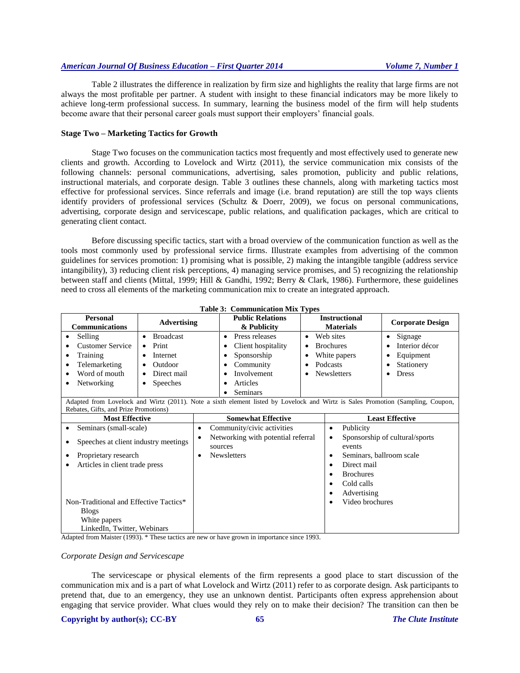Table 2 illustrates the difference in realization by firm size and highlights the reality that large firms are not always the most profitable per partner. A student with insight to these financial indicators may be more likely to achieve long-term professional success. In summary, learning the business model of the firm will help students become aware that their personal career goals must support their employers' financial goals.

#### **Stage Two – Marketing Tactics for Growth**

Stage Two focuses on the communication tactics most frequently and most effectively used to generate new clients and growth. According to Lovelock and Wirtz (2011), the service communication mix consists of the following channels: personal communications, advertising, sales promotion, publicity and public relations, instructional materials, and corporate design. Table 3 outlines these channels, along with marketing tactics most effective for professional services. Since referrals and image (i.e. brand reputation) are still the top ways clients identify providers of professional services (Schultz & Doerr, 2009), we focus on personal communications, advertising, corporate design and servicescape, public relations, and qualification packages, which are critical to generating client contact.

Before discussing specific tactics, start with a broad overview of the communication function as well as the tools most commonly used by professional service firms. Illustrate examples from advertising of the common guidelines for services promotion: 1) promising what is possible, 2) making the intangible tangible (address service intangibility), 3) reducing client risk perceptions, 4) managing service promises, and 5) recognizing the relationship between staff and clients (Mittal, 1999; Hill & Gandhi, 1992; Berry & Clark, 1986). Furthermore, these guidelines need to cross all elements of the marketing communication mix to create an integrated approach.

| <b>Personal</b><br><b>Communications</b>                                                                                                                                 | <b>Advertising</b>                                                          |                                                                                                   | <b>Public Relations</b><br>& Publicity                                                                                           |                                                                                                                                   | <b>Instructional</b><br><b>Materials</b>                                        | <b>Corporate Design</b>                                                                             |
|--------------------------------------------------------------------------------------------------------------------------------------------------------------------------|-----------------------------------------------------------------------------|---------------------------------------------------------------------------------------------------|----------------------------------------------------------------------------------------------------------------------------------|-----------------------------------------------------------------------------------------------------------------------------------|---------------------------------------------------------------------------------|-----------------------------------------------------------------------------------------------------|
| Selling<br>$\bullet$<br><b>Customer Service</b><br>Training<br>$\bullet$<br>Telemarketing<br>Word of mouth<br>Networking<br>٠                                            | <b>Broadcast</b><br>Print<br>Internet<br>Outdoor<br>Direct mail<br>Speeches |                                                                                                   | Press releases<br>$\bullet$<br>Client hospitality<br>Sponsorship<br>٠<br>Community<br>Involvement<br>Articles<br><b>Seminars</b> | $\bullet$<br>٠<br>٠<br>٠                                                                                                          | Web sites<br><b>Brochures</b><br>White papers<br>Podcasts<br><b>Newsletters</b> | Signage<br>$\bullet$<br>Interior décor<br>Equipment<br>$\bullet$<br>Stationery<br><b>Dress</b><br>٠ |
| Adapted from Lovelock and Wirtz (2011). Note a sixth element listed by Lovelock and Wirtz is Sales Promotion (Sampling, Coupon,<br>Rebates, Gifts, and Prize Promotions) |                                                                             |                                                                                                   |                                                                                                                                  |                                                                                                                                   |                                                                                 |                                                                                                     |
| <b>Most Effective</b>                                                                                                                                                    |                                                                             | <b>Somewhat Effective</b>                                                                         |                                                                                                                                  | <b>Least Effective</b>                                                                                                            |                                                                                 |                                                                                                     |
| Seminars (small-scale)<br>٠<br>٠<br>٠<br>Speeches at client industry meetings<br>٠<br>Proprietary research<br>٠<br>٠<br>Articles in client trade press                   |                                                                             | Community/civic activities<br>Networking with potential referral<br>sources<br><b>Newsletters</b> |                                                                                                                                  | Publicity<br>٠<br>$\bullet$<br>events<br>Seminars, ballroom scale<br>Direct mail<br><b>Brochures</b><br>Cold calls<br>Advertising | Sponsorship of cultural/sports                                                  |                                                                                                     |
| Non-Traditional and Effective Tactics*<br><b>Blogs</b><br>White papers<br>LinkedIn, Twitter, Webinars                                                                    |                                                                             |                                                                                                   |                                                                                                                                  | 1000                                                                                                                              | Video brochures                                                                 |                                                                                                     |

**Table 3: Communication Mix Types**

Adapted from Maister (1993). \* These tactics are new or have grown in importance since 1993.

#### *Corporate Design and Servicescape*

The servicescape or physical elements of the firm represents a good place to start discussion of the communication mix and is a part of what Lovelock and Wirtz (2011) refer to as corporate design. Ask participants to pretend that, due to an emergency, they use an unknown dentist. Participants often express apprehension about engaging that service provider. What clues would they rely on to make their decision? The transition can then be

#### **Copyright by author(s); CC-BY 65** *The Clute Institute*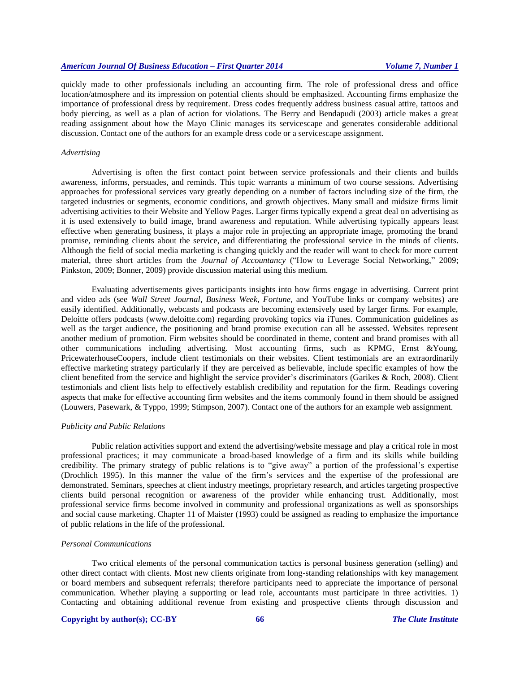quickly made to other professionals including an accounting firm. The role of professional dress and office location/atmosphere and its impression on potential clients should be emphasized. Accounting firms emphasize the importance of professional dress by requirement. Dress codes frequently address business casual attire, tattoos and body piercing, as well as a plan of action for violations. The Berry and Bendapudi (2003) article makes a great reading assignment about how the Mayo Clinic manages its servicescape and generates considerable additional discussion. Contact one of the authors for an example dress code or a servicescape assignment.

#### *Advertising*

Advertising is often the first contact point between service professionals and their clients and builds awareness, informs, persuades, and reminds. This topic warrants a minimum of two course sessions. Advertising approaches for professional services vary greatly depending on a number of factors including size of the firm, the targeted industries or segments, economic conditions, and growth objectives. Many small and midsize firms limit advertising activities to their Website and Yellow Pages. Larger firms typically expend a great deal on advertising as it is used extensively to build image, brand awareness and reputation. While advertising typically appears least effective when generating business, it plays a major role in projecting an appropriate image, promoting the brand promise, reminding clients about the service, and differentiating the professional service in the minds of clients. Although the field of social media marketing is changing quickly and the reader will want to check for more current material, three short articles from the *Journal of Accountancy* ("How to Leverage Social Networking," 2009; Pinkston, 2009; Bonner, 2009) provide discussion material using this medium.

Evaluating advertisements gives participants insights into how firms engage in advertising. Current print and video ads (see *Wall Street Journal*, *Business Week*, *Fortune*, and YouTube links or company websites) are easily identified. Additionally, webcasts and podcasts are becoming extensively used by larger firms. For example, Deloitte offers podcasts (www.deloitte.com) regarding provoking topics via iTunes. Communication guidelines as well as the target audience, the positioning and brand promise execution can all be assessed. Websites represent another medium of promotion. Firm websites should be coordinated in theme, content and brand promises with all other communications including advertising. Most accounting firms, such as KPMG, Ernst &Young, PricewaterhouseCoopers, include client testimonials on their websites. Client testimonials are an extraordinarily effective marketing strategy particularly if they are perceived as believable, include specific examples of how the client benefited from the service and highlight the service provider's discriminators (Garikes & Roch, 2008). Client testimonials and client lists help to effectively establish credibility and reputation for the firm. Readings covering aspects that make for effective accounting firm websites and the items commonly found in them should be assigned (Louwers, Pasewark, & Typpo, 1999; Stimpson, 2007). Contact one of the authors for an example web assignment.

#### *Publicity and Public Relations*

Public relation activities support and extend the advertising/website message and play a critical role in most professional practices; it may communicate a broad-based knowledge of a firm and its skills while building credibility. The primary strategy of public relations is to "give away" a portion of the professional's expertise (Drochlich 1995). In this manner the value of the firm's services and the expertise of the professional are demonstrated. Seminars, speeches at client industry meetings, proprietary research, and articles targeting prospective clients build personal recognition or awareness of the provider while enhancing trust. Additionally, most professional service firms become involved in community and professional organizations as well as sponsorships and social cause marketing. Chapter 11 of Maister (1993) could be assigned as reading to emphasize the importance of public relations in the life of the professional.

#### *Personal Communications*

Two critical elements of the personal communication tactics is personal business generation (selling) and other direct contact with clients. Most new clients originate from long-standing relationships with key management or board members and subsequent referrals; therefore participants need to appreciate the importance of personal communication. Whether playing a supporting or lead role, accountants must participate in three activities. 1) Contacting and obtaining additional revenue from existing and prospective clients through discussion and

#### **Copyright by author(s); CC-BY 66** *The Clute Institute*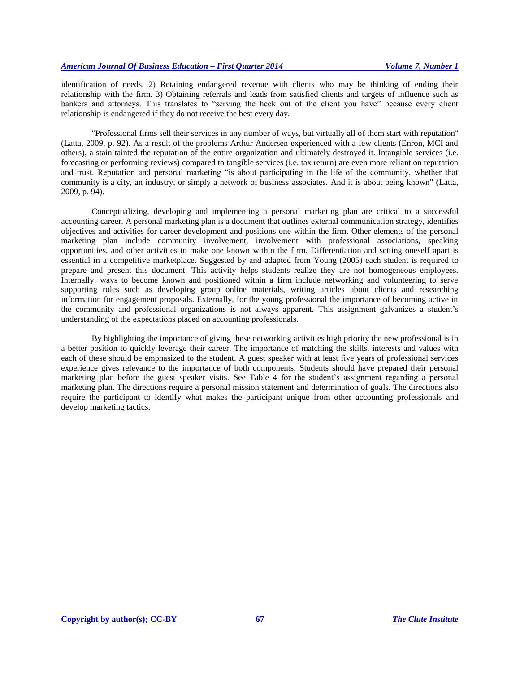identification of needs. 2) Retaining endangered revenue with clients who may be thinking of ending their relationship with the firm. 3) Obtaining referrals and leads from satisfied clients and targets of influence such as bankers and attorneys. This translates to "serving the heck out of the client you have" because every client relationship is endangered if they do not receive the best every day.

"Professional firms sell their services in any number of ways, but virtually all of them start with reputation" (Latta, 2009, p. 92). As a result of the problems Arthur Andersen experienced with a few clients (Enron, MCI and others), a stain tainted the reputation of the entire organization and ultimately destroyed it. Intangible services (i.e. forecasting or performing reviews) compared to tangible services (i.e. tax return) are even more reliant on reputation and trust. Reputation and personal marketing "is about participating in the life of the community, whether that community is a city, an industry, or simply a network of business associates. And it is about being known" (Latta, 2009, p. 94).

Conceptualizing, developing and implementing a personal marketing plan are critical to a successful accounting career. A personal marketing plan is a document that outlines external communication strategy, identifies objectives and activities for career development and positions one within the firm. Other elements of the personal marketing plan include community involvement, involvement with professional associations, speaking opportunities, and other activities to make one known within the firm. Differentiation and setting oneself apart is essential in a competitive marketplace. Suggested by and adapted from Young (2005) each student is required to prepare and present this document. This activity helps students realize they are not homogeneous employees. Internally, ways to become known and positioned within a firm include networking and volunteering to serve supporting roles such as developing group online materials, writing articles about clients and researching information for engagement proposals. Externally, for the young professional the importance of becoming active in the community and professional organizations is not always apparent. This assignment galvanizes a student's understanding of the expectations placed on accounting professionals.

By highlighting the importance of giving these networking activities high priority the new professional is in a better position to quickly leverage their career. The importance of matching the skills, interests and values with each of these should be emphasized to the student. A guest speaker with at least five years of professional services experience gives relevance to the importance of both components. Students should have prepared their personal marketing plan before the guest speaker visits. See Table 4 for the student's assignment regarding a personal marketing plan. The directions require a personal mission statement and determination of goals. The directions also require the participant to identify what makes the participant unique from other accounting professionals and develop marketing tactics.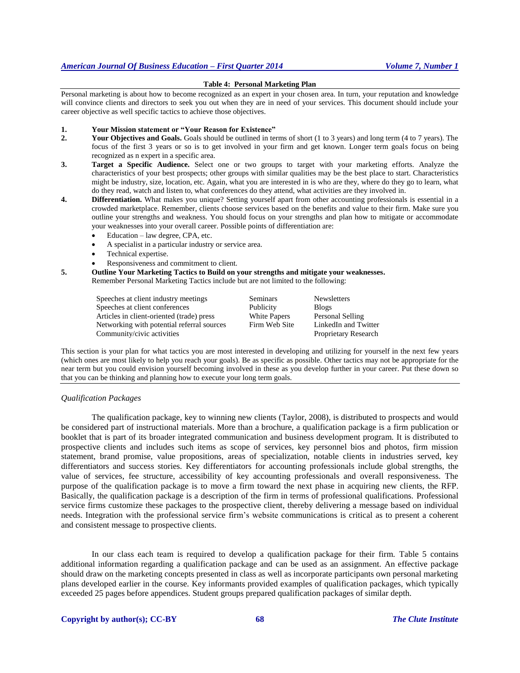#### **Table 4: Personal Marketing Plan**

Personal marketing is about how to become recognized as an expert in your chosen area. In turn, your reputation and knowledge will convince clients and directors to seek you out when they are in need of your services. This document should include your career objective as well specific tactics to achieve those objectives.

#### **1. Your Mission statement or "Your Reason for Existence"**

- **2. Your Objectives and Goals.** Goals should be outlined in terms of short (1 to 3 years) and long term (4 to 7 years). The focus of the first 3 years or so is to get involved in your firm and get known. Longer term goals focus on being recognized as n expert in a specific area.
- **3. Target a Specific Audience.** Select one or two groups to target with your marketing efforts. Analyze the characteristics of your best prospects; other groups with similar qualities may be the best place to start. Characteristics might be industry, size, location, etc. Again, what you are interested in is who are they, where do they go to learn, what do they read, watch and listen to, what conferences do they attend, what activities are they involved in.
- **4. Differentiation.** What makes you unique? Setting yourself apart from other accounting professionals is essential in a crowded marketplace. Remember, clients choose services based on the benefits and value to their firm. Make sure you outline your strengths and weakness. You should focus on your strengths and plan how to mitigate or accommodate your weaknesses into your overall career. Possible points of differentiation are:
	- Education law degree, CPA, etc.
	- A specialist in a particular industry or service area.
	- Technical expertise.
	- Responsiveness and commitment to client.

### **5. Outline Your Marketing Tactics to Build on your strengths and mitigate your weaknesses.**

Remember Personal Marketing Tactics include but are not limited to the following:

| Speeches at client industry meetings       | Seminars      | <b>Newsletters</b>          |
|--------------------------------------------|---------------|-----------------------------|
| Speeches at client conferences             | Publicity     | <b>Blogs</b>                |
| Articles in client-oriented (trade) press  | White Papers  | Personal Selling            |
| Networking with potential referral sources | Firm Web Site | LinkedIn and Twitter        |
| Community/civic activities                 |               | <b>Proprietary Research</b> |

This section is your plan for what tactics you are most interested in developing and utilizing for yourself in the next few years (which ones are most likely to help you reach your goals). Be as specific as possible. Other tactics may not be appropriate for the near term but you could envision yourself becoming involved in these as you develop further in your career. Put these down so that you can be thinking and planning how to execute your long term goals.

#### *Qualification Packages*

The qualification package, key to winning new clients (Taylor, 2008), is distributed to prospects and would be considered part of instructional materials. More than a brochure, a qualification package is a firm publication or booklet that is part of its broader integrated communication and business development program. It is distributed to prospective clients and includes such items as scope of services, key personnel bios and photos, firm mission statement, brand promise, value propositions, areas of specialization, notable clients in industries served, key differentiators and success stories. Key differentiators for accounting professionals include global strengths, the value of services, fee structure, accessibility of key accounting professionals and overall responsiveness. The purpose of the qualification package is to move a firm toward the next phase in acquiring new clients, the RFP. Basically, the qualification package is a description of the firm in terms of professional qualifications. Professional service firms customize these packages to the prospective client, thereby delivering a message based on individual needs. Integration with the professional service firm's website communications is critical as to present a coherent and consistent message to prospective clients.

In our class each team is required to develop a qualification package for their firm. Table 5 contains additional information regarding a qualification package and can be used as an assignment. An effective package should draw on the marketing concepts presented in class as well as incorporate participants own personal marketing plans developed earlier in the course. Key informants provided examples of qualification packages, which typically exceeded 25 pages before appendices. Student groups prepared qualification packages of similar depth.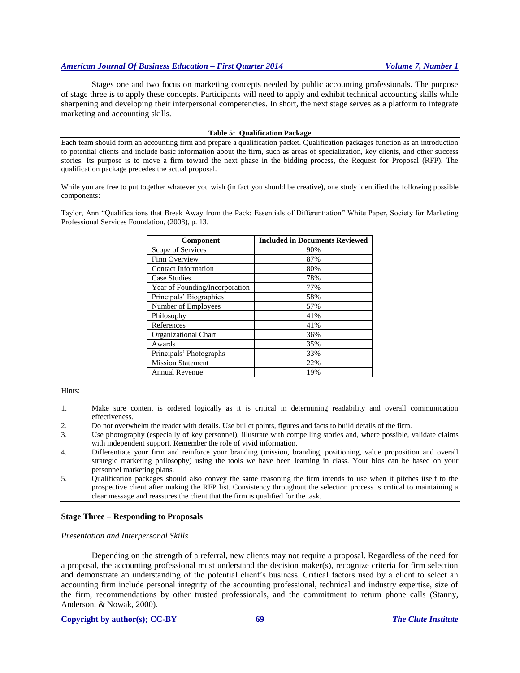Stages one and two focus on marketing concepts needed by public accounting professionals. The purpose of stage three is to apply these concepts. Participants will need to apply and exhibit technical accounting skills while sharpening and developing their interpersonal competencies. In short, the next stage serves as a platform to integrate marketing and accounting skills.

#### **Table 5: Qualification Package**

Each team should form an accounting firm and prepare a qualification packet. Qualification packages function as an introduction to potential clients and include basic information about the firm, such as areas of specialization, key clients, and other success stories. Its purpose is to move a firm toward the next phase in the bidding process, the Request for Proposal (RFP). The qualification package precedes the actual proposal.

While you are free to put together whatever you wish (in fact you should be creative), one study identified the following possible components:

Taylor, Ann "Qualifications that Break Away from the Pack: Essentials of Differentiation" White Paper, Society for Marketing Professional Services Foundation, (2008), p. 13.

| Component                      | <b>Included in Documents Reviewed</b> |
|--------------------------------|---------------------------------------|
| Scope of Services              | 90%                                   |
| Firm Overview                  | 87%                                   |
| <b>Contact Information</b>     | 80%                                   |
| <b>Case Studies</b>            | 78%                                   |
| Year of Founding/Incorporation | 77%                                   |
| Principals' Biographies        | 58%                                   |
| Number of Employees            | 57%                                   |
| Philosophy                     | 41%                                   |
| References                     | 41%                                   |
| Organizational Chart           | 36%                                   |
| Awards                         | 35%                                   |
| Principals' Photographs        | 33%                                   |
| <b>Mission Statement</b>       | 22%                                   |
| <b>Annual Revenue</b>          | 19%                                   |

Hints:

- 1. Make sure content is ordered logically as it is critical in determining readability and overall communication effectiveness.
- 2. Do not overwhelm the reader with details. Use bullet points, figures and facts to build details of the firm.
- 3. Use photography (especially of key personnel), illustrate with compelling stories and, where possible, validate claims with independent support. Remember the role of vivid information.
- 4. Differentiate your firm and reinforce your branding (mission, branding, positioning, value proposition and overall strategic marketing philosophy) using the tools we have been learning in class. Your bios can be based on your personnel marketing plans.
- 5. Qualification packages should also convey the same reasoning the firm intends to use when it pitches itself to the prospective client after making the RFP list. Consistency throughout the selection process is critical to maintaining a clear message and reassures the client that the firm is qualified for the task.

#### **Stage Three – Responding to Proposals**

#### *Presentation and Interpersonal Skills*

Depending on the strength of a referral, new clients may not require a proposal. Regardless of the need for a proposal, the accounting professional must understand the decision maker(s), recognize criteria for firm selection and demonstrate an understanding of the potential client's business. Critical factors used by a client to select an accounting firm include personal integrity of the accounting professional, technical and industry expertise, size of the firm, recommendations by other trusted professionals, and the commitment to return phone calls (Stanny, Anderson, & Nowak, 2000).

#### **Copyright by author(s); CC-BY 69** *The Clute Institute*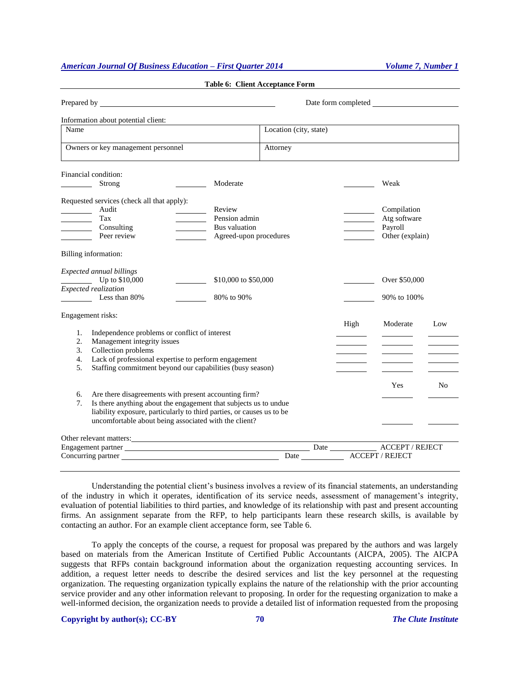## Prepared by Date form completed Information about potential client: Name Location (city, state) Owners or key management personnel Attorney Financial condition: <u>Strong Strong Moderate</u> Moderate Moderate Weak Requested services (check all that apply):<br>Audit Review Compilation Tax **Pension admin** Pension admin Atlantic Atlantic Atlantic Atlantic Atlantic Atlantic Atlantic Atlantic Atlantic Atlantic Atlantic Atlantic Atlantic Atlantic Atlantic Atlantic Atlantic Atlantic Atlantic Atlantic Atlantic Consulting **Bus valuation Bus valuation Payroll** Peer review Agreed-upon procedures Other (explain) Billing information: *Expected annual billings* Up to \$10,000  $\qquad \qquad \qquad$  \$10,000 to \$50,000  $\qquad \qquad \qquad$  Over \$50,000 *Expected realization* Less than 80% 80% to 90% 80% to 90% 90% 90% 90% to 100% Engagement risks: High Moderate Low 1. Independence problems or conflict of interest 2. Management integrity issues 3. Collection problems 4. Lack of professional expertise to perform engagement 5. Staffing commitment beyond our capabilities (busy season) Yes No 6. Are there disagreements with present accounting firm? 7. Is there anything about the engagement that subjects us to undue liability exposure, particularly to third parties, or causes us to be uncomfortable about being associated with the client? Other relevant matters: Engagement partner Lawrence and Lawrence and Lawrence and Lawrence and Lawrence and Lawrence and Lawrence and Lawrence and Lawrence and Lawrence and Lawrence and Lawrence and Lawrence and Lawrence and Lawrence and Lawrence

# **Table 6: Client Acceptance Form**

Understanding the potential client's business involves a review of its financial statements, an understanding of the industry in which it operates, identification of its service needs, assessment of management's integrity, evaluation of potential liabilities to third parties, and knowledge of its relationship with past and present accounting firms. An assignment separate from the RFP, to help participants learn these research skills, is available by contacting an author. For an example client acceptance form, see Table 6.

Concurring partner and the concurring partner and the concurring partner and the Date and ACCEPT / REJECT

To apply the concepts of the course, a request for proposal was prepared by the authors and was largely based on materials from the American Institute of Certified Public Accountants (AICPA, 2005). The AICPA suggests that RFPs contain background information about the organization requesting accounting services. In addition, a request letter needs to describe the desired services and list the key personnel at the requesting organization. The requesting organization typically explains the nature of the relationship with the prior accounting service provider and any other information relevant to proposing. In order for the requesting organization to make a well-informed decision, the organization needs to provide a detailed list of information requested from the proposing

#### **Copyright by author(s); CC-BY 70** *The Clute Institute*

*American Journal Of Business Education – First Quarter 2014 Volume 7, Number 1*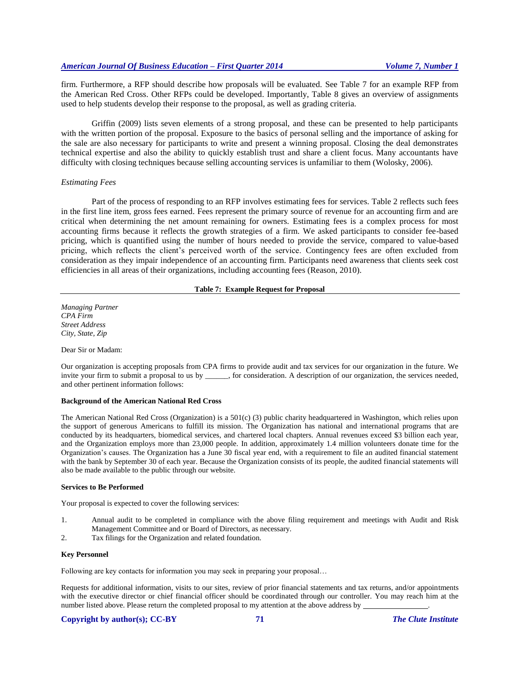firm. Furthermore, a RFP should describe how proposals will be evaluated. See Table 7 for an example RFP from the American Red Cross. Other RFPs could be developed. Importantly, Table 8 gives an overview of assignments used to help students develop their response to the proposal, as well as grading criteria.

Griffin (2009) lists seven elements of a strong proposal, and these can be presented to help participants with the written portion of the proposal. Exposure to the basics of personal selling and the importance of asking for the sale are also necessary for participants to write and present a winning proposal. Closing the deal demonstrates technical expertise and also the ability to quickly establish trust and share a client focus. Many accountants have difficulty with closing techniques because selling accounting services is unfamiliar to them (Wolosky, 2006).

#### *Estimating Fees*

Part of the process of responding to an RFP involves estimating fees for services. Table 2 reflects such fees in the first line item, gross fees earned. Fees represent the primary source of revenue for an accounting firm and are critical when determining the net amount remaining for owners. Estimating fees is a complex process for most accounting firms because it reflects the growth strategies of a firm. We asked participants to consider fee-based pricing, which is quantified using the number of hours needed to provide the service, compared to value-based pricing, which reflects the client's perceived worth of the service. Contingency fees are often excluded from consideration as they impair independence of an accounting firm. Participants need awareness that clients seek cost efficiencies in all areas of their organizations, including accounting fees (Reason, 2010).

#### **Table 7: Example Request for Proposal**

*Managing Partner CPA Firm Street Address City, State, Zip*

#### Dear Sir or Madam:

Our organization is accepting proposals from CPA firms to provide audit and tax services for our organization in the future. We invite your firm to submit a proposal to us by \_\_\_\_\_\_, for consideration. A description of our organization, the services needed, and other pertinent information follows:

#### **Background of the American National Red Cross**

The American National Red Cross (Organization) is a 501(c) (3) public charity headquartered in Washington, which relies upon the support of generous Americans to fulfill its mission. The Organization has national and international programs that are conducted by its headquarters, biomedical services, and chartered local chapters. Annual revenues exceed \$3 billion each year, and the Organization employs more than 23,000 people. In addition, approximately 1.4 million volunteers donate time for the Organization's causes. The Organization has a June 30 fiscal year end, with a requirement to file an audited financial statement with the bank by September 30 of each year. Because the Organization consists of its people, the audited financial statements will also be made available to the public through our website.

#### **Services to Be Performed**

Your proposal is expected to cover the following services:

- 1. Annual audit to be completed in compliance with the above filing requirement and meetings with Audit and Risk Management Committee and or Board of Directors, as necessary.
- 2. Tax filings for the Organization and related foundation.

#### **Key Personnel**

Following are key contacts for information you may seek in preparing your proposal…

Requests for additional information, visits to our sites, review of prior financial statements and tax returns, and/or appointments with the executive director or chief financial officer should be coordinated through our controller. You may reach him at the number listed above. Please return the completed proposal to my attention at the above address by .

#### **Copyright by author(s); CC-BY 71** *The Clute Institute*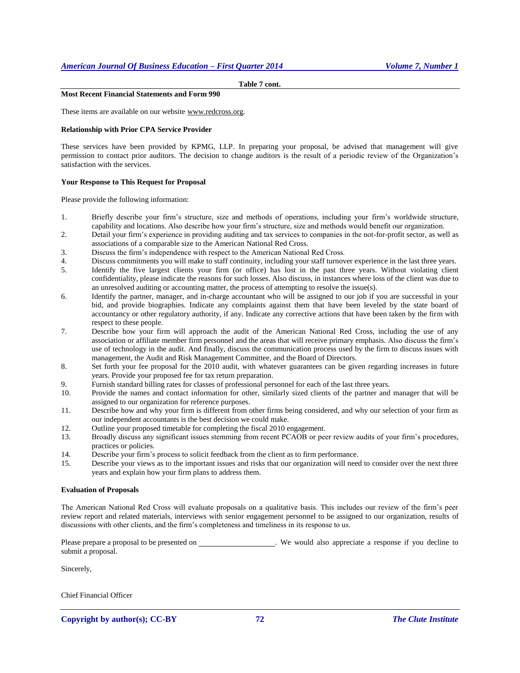**Table 7 cont.**

#### **Most Recent Financial Statements and Form 990**

These items are available on our websit[e www.redcross.org.](http://www.redcross.org/)

#### **Relationship with Prior CPA Service Provider**

These services have been provided by KPMG, LLP. In preparing your proposal, be advised that management will give permission to contact prior auditors. The decision to change auditors is the result of a periodic review of the Organization's satisfaction with the services.

#### **Your Response to This Request for Proposal**

Please provide the following information:

- 1. Briefly describe your firm's structure, size and methods of operations, including your firm's worldwide structure, capability and locations. Also describe how your firm's structure, size and methods would benefit our organization.
- 2. Detail your firm's experience in providing auditing and tax services to companies in the not-for-profit sector, as well as associations of a comparable size to the American National Red Cross.
- 3. Discuss the firm's independence with respect to the American National Red Cross.
- 4. Discuss commitments you will make to staff continuity, including your staff turnover experience in the last three years.
- 5. Identify the five largest clients your firm (or office) has lost in the past three years. Without violating client confidentiality, please indicate the reasons for such losses. Also discuss, in instances where loss of the client was due to an unresolved auditing or accounting matter, the process of attempting to resolve the issue(s).
- 6. Identify the partner, manager, and in-charge accountant who will be assigned to our job if you are successful in your bid, and provide biographies. Indicate any complaints against them that have been leveled by the state board of accountancy or other regulatory authority, if any. Indicate any corrective actions that have been taken by the firm with respect to these people.
- 7. Describe how your firm will approach the audit of the American National Red Cross, including the use of any association or affiliate member firm personnel and the areas that will receive primary emphasis. Also discuss the firm's use of technology in the audit. And finally, discuss the communication process used by the firm to discuss issues with management, the Audit and Risk Management Committee, and the Board of Directors.
- 8. Set forth your fee proposal for the 2010 audit, with whatever guarantees can be given regarding increases in future years. Provide your proposed fee for tax return preparation.
- 9. Furnish standard billing rates for classes of professional personnel for each of the last three years.
- 10. Provide the names and contact information for other, similarly sized clients of the partner and manager that will be assigned to our organization for reference purposes.
- 11. Describe how and why your firm is different from other firms being considered, and why our selection of your firm as our independent accountants is the best decision we could make.
- 12. Outline your proposed timetable for completing the fiscal 2010 engagement.
- 13. Broadly discuss any significant issues stemming from recent PCAOB or peer review audits of your firm's procedures, practices or policies.
- 14. Describe your firm's process to solicit feedback from the client as to firm performance.
- 15. Describe your views as to the important issues and risks that our organization will need to consider over the next three years and explain how your firm plans to address them.

#### **Evaluation of Proposals**

The American National Red Cross will evaluate proposals on a qualitative basis. This includes our review of the firm's peer review report and related materials, interviews with senior engagement personnel to be assigned to our organization, results of discussions with other clients, and the firm's completeness and timeliness in its response to us.

Please prepare a proposal to be presented on \_\_\_\_\_\_\_\_\_\_\_\_\_\_\_\_\_\_\_\_. We would also appreciate a response if you decline to submit a proposal.

Sincerely,

Chief Financial Officer

**Copyright by author(s); CC-BY 72** *The Clute Institute*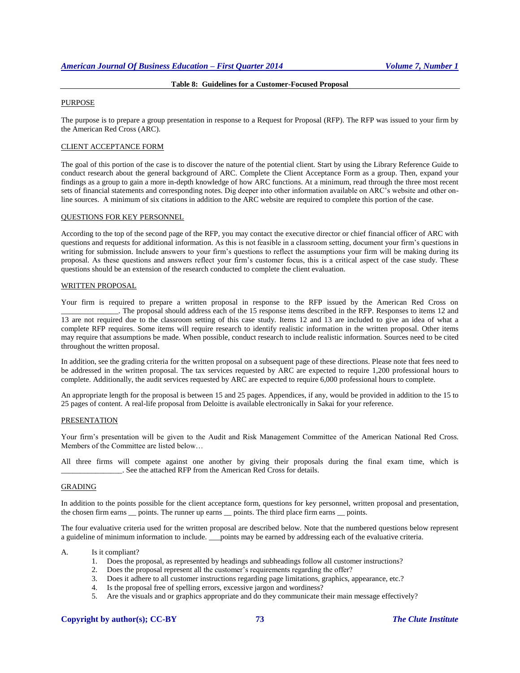#### **Table 8: Guidelines for a Customer-Focused Proposal**

#### PURPOSE

The purpose is to prepare a group presentation in response to a Request for Proposal (RFP). The RFP was issued to your firm by the American Red Cross (ARC).

#### CLIENT ACCEPTANCE FORM

The goal of this portion of the case is to discover the nature of the potential client. Start by using the Library Reference Guide to conduct research about the general background of ARC. Complete the Client Acceptance Form as a group. Then, expand your findings as a group to gain a more in-depth knowledge of how ARC functions. At a minimum, read through the three most recent sets of financial statements and corresponding notes. Dig deeper into other information available on ARC's website and other online sources. A minimum of six citations in addition to the ARC website are required to complete this portion of the case.

#### QUESTIONS FOR KEY PERSONNEL

According to the top of the second page of the RFP, you may contact the executive director or chief financial officer of ARC with questions and requests for additional information. As this is not feasible in a classroom setting, document your firm's questions in writing for submission. Include answers to your firm's questions to reflect the assumptions your firm will be making during its proposal. As these questions and answers reflect your firm's customer focus, this is a critical aspect of the case study. These questions should be an extension of the research conducted to complete the client evaluation.

#### WRITTEN PROPOSAL

Your firm is required to prepare a written proposal in response to the RFP issued by the American Red Cross on \_\_\_\_\_\_\_\_\_\_\_\_\_\_\_. The proposal should address each of the 15 response items described in the RFP. Responses to items 12 and 13 are not required due to the classroom setting of this case study. Items 12 and 13 are included to give an idea of what a complete RFP requires. Some items will require research to identify realistic information in the written proposal. Other items may require that assumptions be made. When possible, conduct research to include realistic information. Sources need to be cited throughout the written proposal.

In addition, see the grading criteria for the written proposal on a subsequent page of these directions. Please note that fees need to be addressed in the written proposal. The tax services requested by ARC are expected to require 1,200 professional hours to complete. Additionally, the audit services requested by ARC are expected to require 6,000 professional hours to complete.

An appropriate length for the proposal is between 15 and 25 pages. Appendices, if any, would be provided in addition to the 15 to 25 pages of content. A real-life proposal from Deloitte is available electronically in Sakai for your reference.

#### **PRESENTATION**

Your firm's presentation will be given to the Audit and Risk Management Committee of the American National Red Cross. Members of the Committee are listed below…

All three firms will compete against one another by giving their proposals during the final exam time, which is \_\_\_\_\_\_\_\_\_\_\_\_\_\_\_\_. See the attached RFP from the American Red Cross for details.

#### GRADING

In addition to the points possible for the client acceptance form, questions for key personnel, written proposal and presentation, the chosen firm earns \_\_ points. The runner up earns \_\_ points. The third place firm earns \_\_ points.

The four evaluative criteria used for the written proposal are described below. Note that the numbered questions below represent a guideline of minimum information to include. \_\_\_points may be earned by addressing each of the evaluative criteria.

#### A. Is it compliant?

- 1. Does the proposal, as represented by headings and subheadings follow all customer instructions?
- 2. Does the proposal represent all the customer's requirements regarding the offer?
- 3. Does it adhere to all customer instructions regarding page limitations, graphics, appearance, etc.?
- 4. Is the proposal free of spelling errors, excessive jargon and wordiness?
- 5. Are the visuals and or graphics appropriate and do they communicate their main message effectively?

#### **Copyright by author(s); CC-BY 73** *The Clute Institute*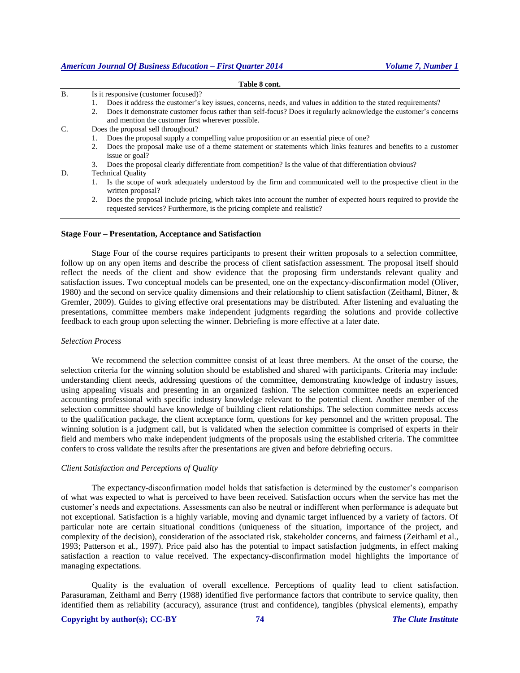#### **Table 8 cont.**

- B. Is it responsive (customer focused)?
	- 1. Does it address the customer's key issues, concerns, needs, and values in addition to the stated requirements?
	- 2. Does it demonstrate customer focus rather than self-focus? Does it regularly acknowledge the customer's concerns and mention the customer first wherever possible.
- C. Does the proposal sell throughout?
	- 1. Does the proposal supply a compelling value proposition or an essential piece of one?
	- 2. Does the proposal make use of a theme statement or statements which links features and benefits to a customer issue or goal?
	- 3. Does the proposal clearly differentiate from competition? Is the value of that differentiation obvious?
- D. Technical Quality
	- 1. Is the scope of work adequately understood by the firm and communicated well to the prospective client in the written proposal?
	- 2. Does the proposal include pricing, which takes into account the number of expected hours required to provide the requested services? Furthermore, is the pricing complete and realistic?

#### **Stage Four – Presentation, Acceptance and Satisfaction**

Stage Four of the course requires participants to present their written proposals to a selection committee, follow up on any open items and describe the process of client satisfaction assessment. The proposal itself should reflect the needs of the client and show evidence that the proposing firm understands relevant quality and satisfaction issues. Two conceptual models can be presented, one on the expectancy-disconfirmation model (Oliver, 1980) and the second on service quality dimensions and their relationship to client satisfaction (Zeithaml, Bitner, & Gremler, 2009). Guides to giving effective oral presentations may be distributed. After listening and evaluating the presentations, committee members make independent judgments regarding the solutions and provide collective feedback to each group upon selecting the winner. Debriefing is more effective at a later date.

#### *Selection Process*

We recommend the selection committee consist of at least three members. At the onset of the course, the selection criteria for the winning solution should be established and shared with participants. Criteria may include: understanding client needs, addressing questions of the committee, demonstrating knowledge of industry issues, using appealing visuals and presenting in an organized fashion. The selection committee needs an experienced accounting professional with specific industry knowledge relevant to the potential client. Another member of the selection committee should have knowledge of building client relationships. The selection committee needs access to the qualification package, the client acceptance form, questions for key personnel and the written proposal. The winning solution is a judgment call, but is validated when the selection committee is comprised of experts in their field and members who make independent judgments of the proposals using the established criteria. The committee confers to cross validate the results after the presentations are given and before debriefing occurs.

#### *Client Satisfaction and Perceptions of Quality*

The expectancy-disconfirmation model holds that satisfaction is determined by the customer's comparison of what was expected to what is perceived to have been received. Satisfaction occurs when the service has met the customer's needs and expectations. Assessments can also be neutral or indifferent when performance is adequate but not exceptional. Satisfaction is a highly variable, moving and dynamic target influenced by a variety of factors. Of particular note are certain situational conditions (uniqueness of the situation, importance of the project, and complexity of the decision), consideration of the associated risk, stakeholder concerns, and fairness (Zeithaml et al., 1993; Patterson et al., 1997). Price paid also has the potential to impact satisfaction judgments, in effect making satisfaction a reaction to value received. The expectancy-disconfirmation model highlights the importance of managing expectations.

Quality is the evaluation of overall excellence. Perceptions of quality lead to client satisfaction. Parasuraman, Zeithaml and Berry (1988) identified five performance factors that contribute to service quality, then identified them as reliability (accuracy), assurance (trust and confidence), tangibles (physical elements), empathy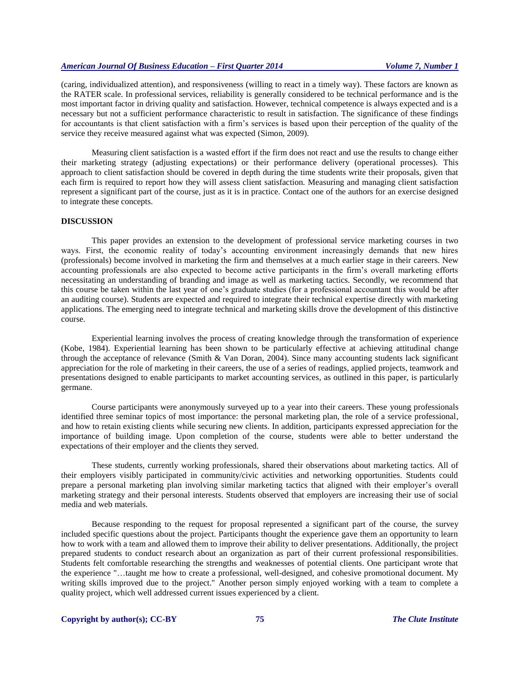(caring, individualized attention), and responsiveness (willing to react in a timely way). These factors are known as the RATER scale. In professional services, reliability is generally considered to be technical performance and is the most important factor in driving quality and satisfaction. However, technical competence is always expected and is a necessary but not a sufficient performance characteristic to result in satisfaction. The significance of these findings for accountants is that client satisfaction with a firm's services is based upon their perception of the quality of the service they receive measured against what was expected (Simon, 2009).

Measuring client satisfaction is a wasted effort if the firm does not react and use the results to change either their marketing strategy (adjusting expectations) or their performance delivery (operational processes). This approach to client satisfaction should be covered in depth during the time students write their proposals, given that each firm is required to report how they will assess client satisfaction. Measuring and managing client satisfaction represent a significant part of the course, just as it is in practice. Contact one of the authors for an exercise designed to integrate these concepts.

#### **DISCUSSION**

This paper provides an extension to the development of professional service marketing courses in two ways. First, the economic reality of today's accounting environment increasingly demands that new hires (professionals) become involved in marketing the firm and themselves at a much earlier stage in their careers. New accounting professionals are also expected to become active participants in the firm's overall marketing efforts necessitating an understanding of branding and image as well as marketing tactics. Secondly, we recommend that this course be taken within the last year of one's graduate studies (for a professional accountant this would be after an auditing course). Students are expected and required to integrate their technical expertise directly with marketing applications. The emerging need to integrate technical and marketing skills drove the development of this distinctive course.

Experiential learning involves the process of creating knowledge through the transformation of experience (Kobe, 1984). Experiential learning has been shown to be particularly effective at achieving attitudinal change through the acceptance of relevance (Smith & Van Doran, 2004). Since many accounting students lack significant appreciation for the role of marketing in their careers, the use of a series of readings, applied projects, teamwork and presentations designed to enable participants to market accounting services, as outlined in this paper, is particularly germane.

Course participants were anonymously surveyed up to a year into their careers. These young professionals identified three seminar topics of most importance: the personal marketing plan, the role of a service professional, and how to retain existing clients while securing new clients. In addition, participants expressed appreciation for the importance of building image. Upon completion of the course, students were able to better understand the expectations of their employer and the clients they served.

These students, currently working professionals, shared their observations about marketing tactics. All of their employers visibly participated in community/civic activities and networking opportunities. Students could prepare a personal marketing plan involving similar marketing tactics that aligned with their employer's overall marketing strategy and their personal interests. Students observed that employers are increasing their use of social media and web materials.

Because responding to the request for proposal represented a significant part of the course, the survey included specific questions about the project. Participants thought the experience gave them an opportunity to learn how to work with a team and allowed them to improve their ability to deliver presentations. Additionally, the project prepared students to conduct research about an organization as part of their current professional responsibilities. Students felt comfortable researching the strengths and weaknesses of potential clients. One participant wrote that the experience "…taught me how to create a professional, well-designed, and cohesive promotional document. My writing skills improved due to the project." Another person simply enjoyed working with a team to complete a quality project, which well addressed current issues experienced by a client.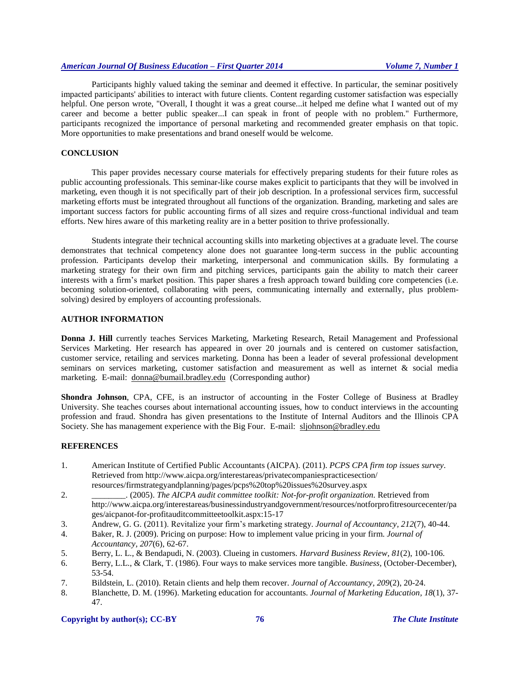Participants highly valued taking the seminar and deemed it effective. In particular, the seminar positively impacted participants' abilities to interact with future clients. Content regarding customer satisfaction was especially helpful. One person wrote, "Overall, I thought it was a great course...it helped me define what I wanted out of my career and become a better public speaker...I can speak in front of people with no problem." Furthermore, participants recognized the importance of personal marketing and recommended greater emphasis on that topic. More opportunities to make presentations and brand oneself would be welcome.

#### **CONCLUSION**

This paper provides necessary course materials for effectively preparing students for their future roles as public accounting professionals. This seminar-like course makes explicit to participants that they will be involved in marketing, even though it is not specifically part of their job description. In a professional services firm, successful marketing efforts must be integrated throughout all functions of the organization. Branding, marketing and sales are important success factors for public accounting firms of all sizes and require cross-functional individual and team efforts. New hires aware of this marketing reality are in a better position to thrive professionally.

Students integrate their technical accounting skills into marketing objectives at a graduate level. The course demonstrates that technical competency alone does not guarantee long-term success in the public accounting profession. Participants develop their marketing, interpersonal and communication skills. By formulating a marketing strategy for their own firm and pitching services, participants gain the ability to match their career interests with a firm's market position. This paper shares a fresh approach toward building core competencies (i.e. becoming solution-oriented, collaborating with peers, communicating internally and externally, plus problemsolving) desired by employers of accounting professionals.

#### **AUTHOR INFORMATION**

**Donna J. Hill** currently teaches Services Marketing, Marketing Research, Retail Management and Professional Services Marketing. Her research has appeared in over 20 journals and is centered on customer satisfaction, customer service, retailing and services marketing. Donna has been a leader of several professional development seminars on services marketing, customer satisfaction and measurement as well as internet & social media marketing. E-mail: [donna@bumail.bradley.edu](mailto:donna@bumail.bradley.edu) (Corresponding author)

**Shondra Johnson**, CPA, CFE, is an instructor of accounting in the Foster College of Business at Bradley University. She teaches courses about international accounting issues, how to conduct interviews in the accounting profession and fraud. Shondra has given presentations to the Institute of Internal Auditors and the Illinois CPA Society. She has management experience with the Big Four. E-mail: [sljohnson@bradley.edu](mailto:sljohnson@bradley.edu)

#### **REFERENCES**

- 1. American Institute of Certified Public Accountants (AICPA). (2011). *PCPS CPA firm top issues survey*. Retrieved from [http://www.aicpa.org/interestareas/privatecompaniespracticesection/](http://www.aicpa.org/interestareas/privatecompaniespracticesection/%20resources/firmstrategyandplanning/pages/pcps%20top%20issues%20survey.aspx)  [resources/firmstrategyandplanning/pages/pcps%20top%20issues%20survey.aspx](http://www.aicpa.org/interestareas/privatecompaniespracticesection/%20resources/firmstrategyandplanning/pages/pcps%20top%20issues%20survey.aspx)
- 2. \_\_\_\_\_\_\_\_. (2005). *The AICPA audit committee toolkit: Not-for-profit organization.* Retrieved from [http://www.aicpa.org/interestareas/businessindustryandgovernment/resources/notforprofitresourcecenter/pa](http://www.aicpa.org/interestareas/businessindustryandgovernment/resources/notforprofitresourcecenter/pages/aicpanot-for-profitauditcommitteetoolkit.aspx:15-17) [ges/aicpanot-for-profitauditcommitteetoolkit.aspx:15-17](http://www.aicpa.org/interestareas/businessindustryandgovernment/resources/notforprofitresourcecenter/pages/aicpanot-for-profitauditcommitteetoolkit.aspx:15-17)
- 3. Andrew, G. G. (2011). Revitalize your firm's marketing strategy. *Journal of Accountancy, 212*(7), 40-44.
- 4. Baker, R. J. (2009). Pricing on purpose: How to implement value pricing in your firm. *Journal of Accountancy, 207*(6), 62-67.
- 5. Berry, L. L., & Bendapudi, N. (2003). Clueing in customers. *Harvard Business Review, 81*(2), 100-106.
- 6. Berry, L.L., & Clark, T. (1986). Four ways to make services more tangible. *Business,* (October-December), 53-54.
- 7. Bildstein, L. (2010). Retain clients and help them recover. *Journal of Accountancy, 209*(2), 20-24.
- 8. Blanchette, D. M. (1996). Marketing education for accountants. *Journal of Marketing Education, 18*(1), 37- 47.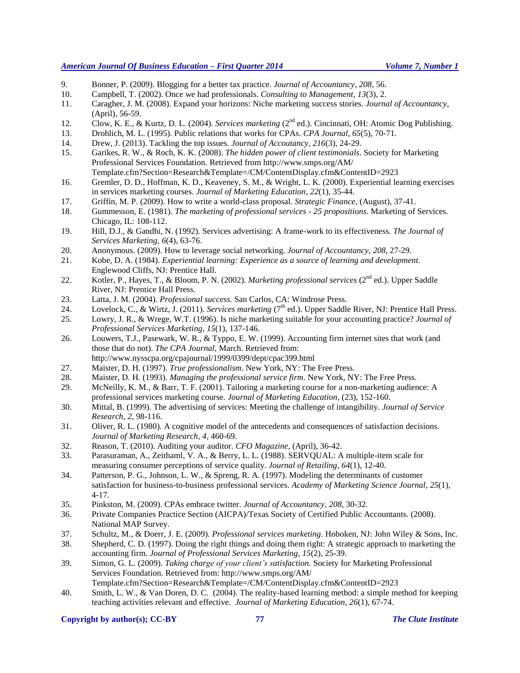- 9. Bonner, P. (2009). Blogging for a better tax practice. *Journal of Accountancy, 208*, 56.
- 10. Campbell, T. (2002). Once we had professionals. *Consulting to Management, 13*(3), 2.
- 11. Caragher, J. M. (2008). Expand your horizons: Niche marketing success stories. *Journal of Accountancy,* (April), 56-59.
- 12. Clow, K. E., & Kurtz, D. L. (2004). *Services marketing* (2nd ed.). Cincinnati, OH: Atomic Dog Publishing.
- 13. Drohlich, M. L. (1995). Public relations that works for CPAs. *CPA Journal, 65*(5), 70-71.
- 14. Drew, J. (2013). Tackling the top issues. *Journal of Accoutancy, 216*(3), 24-29.
- 15. Garikes, R. W., & Roch, K. K. (2008). *The hidden power of client testimonials*. Society for Marketing Professional Services Foundation. Retrieved from [http://www.smps.org/AM/](http://www.smps.org/AM/%20Template.cfm?Section=Research&Template=/CM/ContentDisplay.cfm&ContentID=2923)  [Template.cfm?Section=Research&Template=/CM/ContentDisplay.cfm&ContentID=2923](http://www.smps.org/AM/%20Template.cfm?Section=Research&Template=/CM/ContentDisplay.cfm&ContentID=2923)
- 16. Gremler, D. D., Hoffman, K. D., Keaveney, S. M., & Wright, L. K. (2000). Experiential learning exercises in services marketing courses. *Journal of Marketing Education, 22*(1), 35-44.
- 17. Griffin, M. P. (2009). How to write a world-class proposal. *Strategic Finance,* (August), 37-41.
- 18. Gummesson, E. (1981). *The marketing of professional services - 25 propositions*. Marketing of Services. Chicago, IL: 108-112.
- 19. Hill, D.J., & Gandhi, N. (1992). Services advertising: A frame-work to its effectiveness. *The Journal of Services Marketing, 6*(4), 63-76.
- 20. Anonymous. (2009). How to leverage social networking. *Journal of Accountancy, 208*, 27-29.
- 21. Kobe, D. A. (1984). *Experiential learning: Experience as a source of learning and development.*  Englewood Cliffs, NJ: Prentice Hall.
- 22. Kotler, P., Hayes, T., & Bloom, P. N. (2002). *Marketing professional services* (2nd ed.). Upper Saddle River, NJ: Prentice Hall Press.
- 23. Latta, J. M. (2004). *Professional success.* San Carlos, CA: Windrose Press.
- 24. Lovelock, C., & Wirtz, J. (2011). *Services marketing* (7<sup>th</sup> ed.). Upper Saddle River, NJ: Prentice Hall Press.
- 25. Lowry, J. R., & Wrege, W.T. (1996). Is niche marketing suitable for your accounting practice? *Journal of Professional Services Marketing, 15*(1), 137-146.
- 26. Louwers, T.J., Pasewark, W. R., & Typpo, E. W. (1999). Accounting firm internet sites that work (and those that do not). *The CPA Journal,* March. Retrieved from: <http://www.nysscpa.org/cpajournal/1999/0399/dept/cpac399.html>
- 27. Maister, D. H. (1997). *True professionalism*. New York, NY: The Free Press.
- 28. Maister, D. H. (1993). *Managing the professional service firm*. New York, NY: The Free Press.
- 29. McNeilly, K. M., & Barr, T. F. (2001). Tailoring a marketing course for a non-marketing audience: A professional services marketing course. *Journal of Marketing Education,* (23), 152-160.
- 30. Mittal, B. (1999). The advertising of services: Meeting the challenge of intangibility. *Journal of Service Research, 2*, 98-116.
- 31. Oliver, R. L. (1980). A cognitive model of the antecedents and consequences of satisfaction decisions. *Journal of Marketing Research, 4*, 460-69.
- 32. Reason, T. (2010). Auditing your auditor. *CFO Magazine,* (April), 36-42.
- 33. Parasuraman, A., Zeithaml, V. A., & Berry, L. L. (1988). SERVQUAL: A multiple-item scale for measuring consumer perceptions of service quality. *Journal of Retailing, 64*(1), 12-40.
- 34. Patterson, P. G., Johnson, L. W., & Spreng, R. A. (1997). Modeling the determinants of customer satisfaction for business-to-business professional services. *Academy of Marketing Science Journal, 25*(1), 4-17.
- 35. Pinkston, M. (2009). CPAs embrace twitter. *Journal of Accountancy, 208*, 30-32.
- 36. Private Companies Practice Section (AICPA)/Texas Society of Certified Public Accountants. (2008). National MAP Survey.
- 37. Schultz, M., & Doerr, J. E. (2009). *Professional services marketing*. Hoboken, NJ: John Wiley & Sons, Inc.
- 38. Shepherd, C. D. (1997). Doing the right things and doing them right: A strategic approach to marketing the accounting firm. *Journal of Professional Services Marketing, 15*(2), 25-39.
- 39. Simon, G. L. (2009). *Taking charge of your client's satisfaction*. Society for Marketing Professional Services Foundation. Retrieved from: [http://www.smps.org/AM/](http://www.smps.org/AM/%20Template.cfm?Section=Research&Template=/CM/ContentDisplay.cfm&ContentID=2923)  [Template.cfm?Section=Research&Template=/CM/ContentDisplay.cfm&ContentID=2923](http://www.smps.org/AM/%20Template.cfm?Section=Research&Template=/CM/ContentDisplay.cfm&ContentID=2923)
- 40. Smith, L. W., & Van Doren, D. C. (2004). The reality-based learning method: a simple method for keeping teaching activities relevant and effective. *Journal of Marketing Education, 26*(1), 67-74.

#### **Copyright by author(s); CC-BY 77** *The Clute Institute*